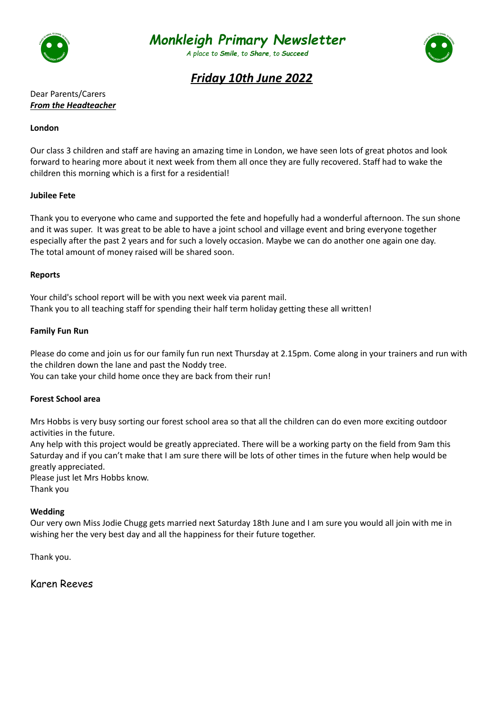



*A place to Smile, to Share, to Succeed*



# *Friday 10th June 2022*

## Dear Parents/Carers *From the Headteacher*

### **London**

Our class 3 children and staff are having an amazing time in London, we have seen lots of great photos and look forward to hearing more about it next week from them all once they are fully recovered. Staff had to wake the children this morning which is a first for a residential!

### **Jubilee Fete**

Thank you to everyone who came and supported the fete and hopefully had a wonderful afternoon. The sun shone and it was super. It was great to be able to have a joint school and village event and bring everyone together especially after the past 2 years and for such a lovely occasion. Maybe we can do another one again one day. The total amount of money raised will be shared soon.

### **Reports**

Your child's school report will be with you next week via parent mail. Thank you to all teaching staff for spending their half term holiday getting these all written!

### **Family Fun Run**

Please do come and join us for our family fun run next Thursday at 2.15pm. Come along in your trainers and run with the children down the lane and past the Noddy tree.

You can take your child home once they are back from their run!

#### **Forest School area**

Mrs Hobbs is very busy sorting our forest school area so that all the children can do even more exciting outdoor activities in the future.

Any help with this project would be greatly appreciated. There will be a working party on the field from 9am this Saturday and if you can't make that I am sure there will be lots of other times in the future when help would be greatly appreciated.

Please just let Mrs Hobbs know.

Thank you

#### **Wedding**

Our very own Miss Jodie Chugg gets married next Saturday 18th June and I am sure you would all join with me in wishing her the very best day and all the happiness for their future together.

Thank you.

Karen Reeves